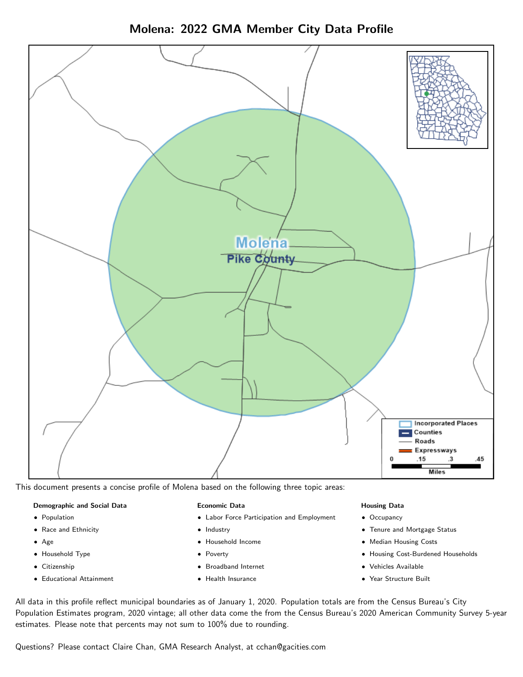

Molena: 2022 GMA Member City Data Profile

This document presents a concise profile of Molena based on the following three topic areas:

# Demographic and Social Data

- **•** Population
- Race and Ethnicity
- Age
- Household Type
- **Citizenship**
- Educational Attainment

#### Economic Data

- Labor Force Participation and Employment
- Industry
- Household Income
- Poverty
- Broadband Internet
- Health Insurance

#### Housing Data

- Occupancy
- Tenure and Mortgage Status
- Median Housing Costs
- Housing Cost-Burdened Households
- Vehicles Available
- Year Structure Built

All data in this profile reflect municipal boundaries as of January 1, 2020. Population totals are from the Census Bureau's City Population Estimates program, 2020 vintage; all other data come the from the Census Bureau's 2020 American Community Survey 5-year estimates. Please note that percents may not sum to 100% due to rounding.

Questions? Please contact Claire Chan, GMA Research Analyst, at [cchan@gacities.com.](mailto:cchan@gacities.com)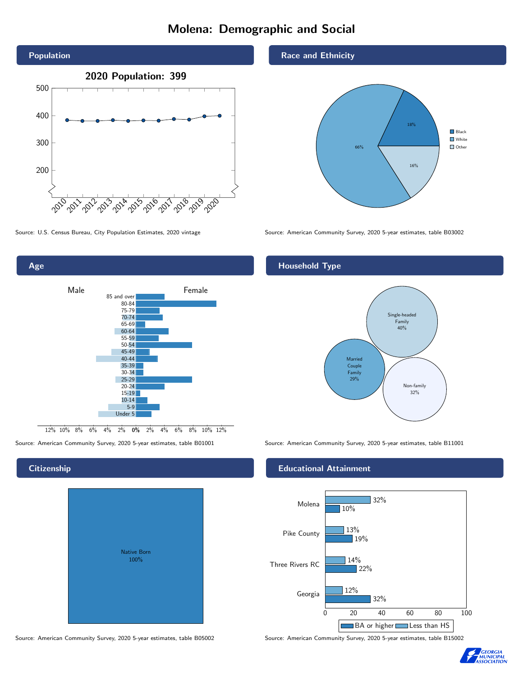# Molena: Demographic and Social





### **Citizenship**

| Native Born<br>100% |  |
|---------------------|--|

Race and Ethnicity



Source: U.S. Census Bureau, City Population Estimates, 2020 vintage Source: American Community Survey, 2020 5-year estimates, table B03002

## Household Type



Source: American Community Survey, 2020 5-year estimates, table B01001 Source: American Community Survey, 2020 5-year estimates, table B11001

#### Educational Attainment



Source: American Community Survey, 2020 5-year estimates, table B05002 Source: American Community Survey, 2020 5-year estimates, table B15002

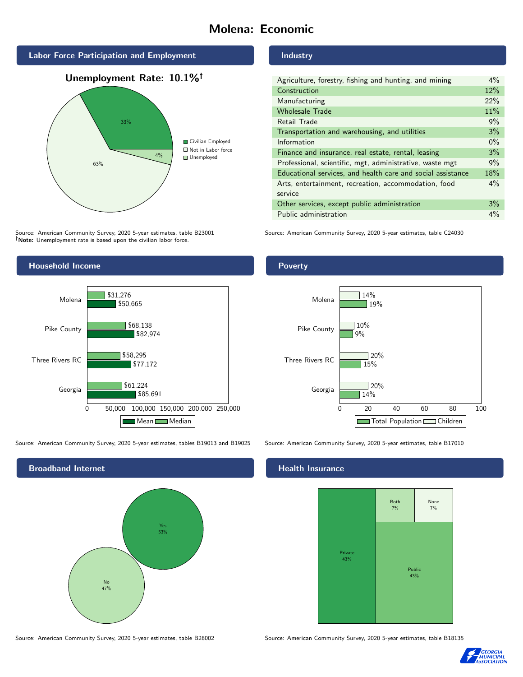# Molena: Economic







Source: American Community Survey, 2020 5-year estimates, table B23001 Note: Unemployment rate is based upon the civilian labor force.



Source: American Community Survey, 2020 5-year estimates, tables B19013 and B19025 Source: American Community Survey, 2020 5-year estimates, table B17010



Industry

Poverty

| Agriculture, forestry, fishing and hunting, and mining      | $4\%$ |  |
|-------------------------------------------------------------|-------|--|
| Construction                                                | 12%   |  |
| Manufacturing                                               | 22%   |  |
| <b>Wholesale Trade</b>                                      | 11%   |  |
| Retail Trade                                                | 9%    |  |
| Transportation and warehousing, and utilities               |       |  |
| Information                                                 |       |  |
| Finance and insurance, real estate, rental, leasing         |       |  |
| Professional, scientific, mgt, administrative, waste mgt    |       |  |
| Educational services, and health care and social assistance |       |  |
| Arts, entertainment, recreation, accommodation, food        | $4\%$ |  |
| service                                                     |       |  |
| Other services, except public administration                |       |  |
| Public administration                                       |       |  |

Source: American Community Survey, 2020 5-year estimates, table C24030

### Georgia Three Rivers RC Pike County Molena 14%  $15%$ 9% 19%  $\sqrt{20\%}$  $\sqrt{20\%}$ 10% 14%

0 20 40 60 80 100

Total Population Children

## **Health Insurance**



Source: American Community Survey, 2020 5-year estimates, table B28002 Source: American Community Survey, 2020 5-year estimates, table B18135